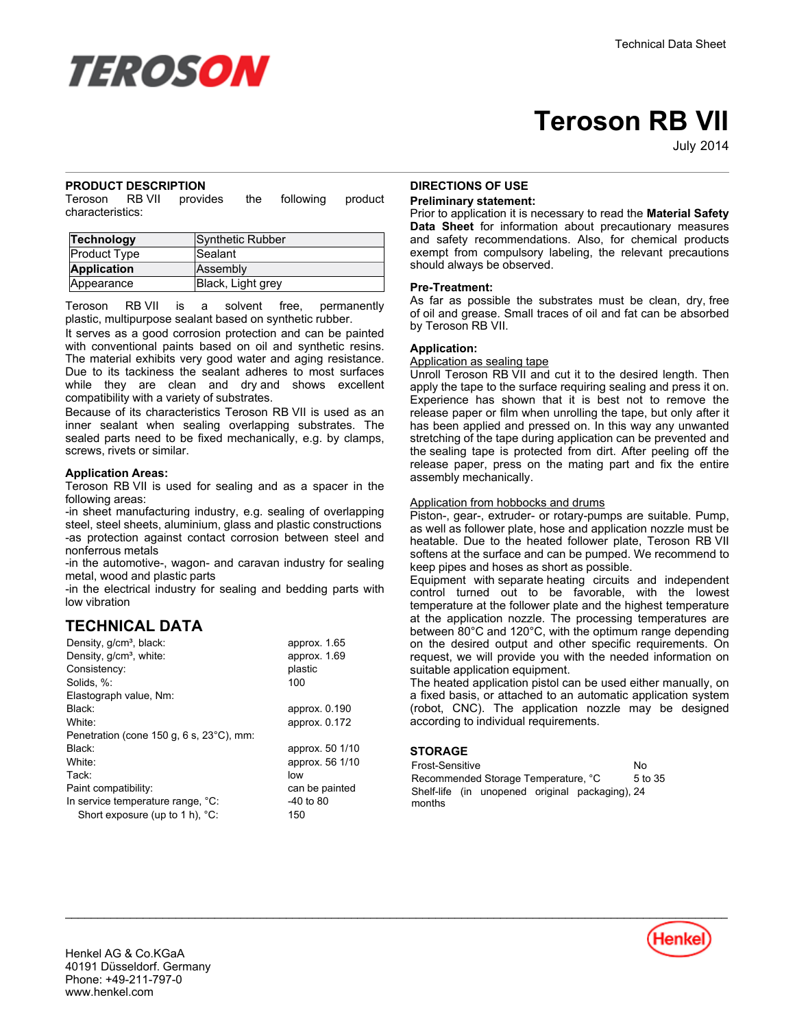

# **Teroson RB VII**

July-2014

## **PRODUCT DESCRIPTION**

Teroson RB VII provides the following product characteristics:

| Technology          | Synthetic Rubber  |
|---------------------|-------------------|
| <b>Product Type</b> | Sealant           |
| <b>Application</b>  | Assembly          |
| Appearance          | Black, Light grey |

Teroson RB VII is a solvent free, permanently plastic, multipurpose sealant based on synthetic rubber.

It serves as a good corrosion protection and can be painted with conventional paints based on oil and synthetic resins. The material exhibits very good water and aging resistance. Due to its tackiness the sealant adheres to most surfaces while they are clean and dry and shows excellent compatibility with a variety of substrates.

Because of its characteristics Teroson RB VII is used as an inner sealant when sealing overlapping substrates. The sealed parts need to be fixed mechanically, e.g. by clamps, screws, rivets or similar.

## **Application Areas:**

Teroson RB VII is used for sealing and as a spacer in the following areas:

-in sheet manufacturing industry, e.g. sealing of overlapping steel, steel sheets, aluminium, glass and plastic constructions -as protection against contact corrosion between steel and nonferrous metals

-in the automotive-, wagon- and caravan industry for sealing metal, wood and plastic parts

-in the electrical industry for sealing and bedding parts with low vibration

## **TECHNICAL DATA**

| Density, g/cm <sup>3</sup> , black:      | approx. 1.65    |
|------------------------------------------|-----------------|
| Density, g/cm <sup>3</sup> , white:      | approx. 1.69    |
| Consistency:                             | plastic         |
| Solids, %:                               | 100             |
| Elastograph value, Nm:                   |                 |
| Black:                                   | approx. 0.190   |
| White:                                   | approx. 0.172   |
| Penetration (cone 150 g, 6 s, 23°C), mm: |                 |
| Black:                                   | approx. 50 1/10 |
| White:                                   | approx. 56 1/10 |
| Tack:                                    | low             |
| Paint compatibility:                     | can be painted  |
| In service temperature range, °C:        | $-40$ to 80     |
| Short exposure (up to 1 h), °C:          | 150             |
|                                          |                 |

## **DIRECTIONS OF USE**

#### **Preliminary statement:**

Prior to application it is necessary to read the **Material Safety Data Sheet** for information about precautionary measures and safety recommendations. Also, for chemical products exempt from compulsory labeling, the relevant precautions should always be observed.

#### **Pre-Treatment:**

As far as possible the substrates must be clean, dry, free of oil and grease. Small traces of oil and fat can be absorbed by Teroson RB VII.

## **Application:**

#### Application as sealing tape

Unroll Teroson RB VII and cut it to the desired length. Then apply the tape to the surface requiring sealing and press it on. Experience has shown that it is best not to remove the release paper or film when unrolling the tape, but only after it has been applied and pressed on. In this way any unwanted stretching of the tape during application can be prevented and the sealing tape is protected from dirt. After peeling off the release paper, press on the mating part and fix the entire assembly mechanically.

#### Application from hobbocks and drums

Piston-, gear-, extruder- or rotary-pumps are suitable. Pump, as well as follower plate, hose and application nozzle must be heatable. Due to the heated follower plate, Teroson RB VII softens at the surface and can be pumped. We recommend to keep pipes and hoses as short as possible.

Equipment with separate heating circuits and independent control turned out to be favorable, with the lowest temperature at the follower plate and the highest temperature at the application nozzle. The processing temperatures are between 80°C and 120°C, with the optimum range depending on the desired output and other specific requirements. On request, we will provide you with the needed information on suitable application equipment.

The heated application pistol can be used either manually, on a fixed basis, or attached to an automatic application system (robot, CNC). The application nozzle may be designed according to individual requirements.

## **STORAGE**

 $\mathcal{L}_\mathcal{L} = \mathcal{L}_\mathcal{L} = \mathcal{L}_\mathcal{L} = \mathcal{L}_\mathcal{L} = \mathcal{L}_\mathcal{L} = \mathcal{L}_\mathcal{L} = \mathcal{L}_\mathcal{L} = \mathcal{L}_\mathcal{L} = \mathcal{L}_\mathcal{L} = \mathcal{L}_\mathcal{L} = \mathcal{L}_\mathcal{L} = \mathcal{L}_\mathcal{L} = \mathcal{L}_\mathcal{L} = \mathcal{L}_\mathcal{L} = \mathcal{L}_\mathcal{L} = \mathcal{L}_\mathcal{L} = \mathcal{L}_\mathcal{L}$ 

Frost-Sensitive No Recommended Storage Temperature, °C 5 to 35 Shelf-life (in unopened original packaging), 24 months